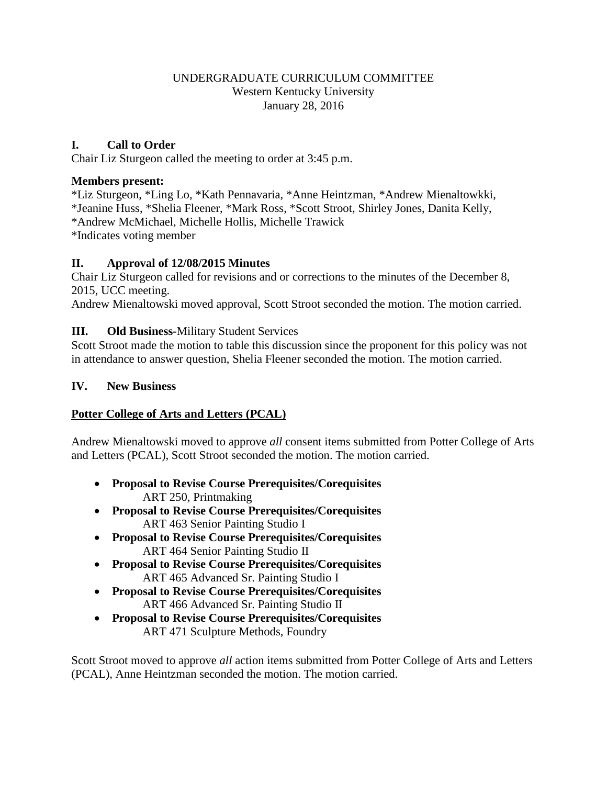### UNDERGRADUATE CURRICULUM COMMITTEE Western Kentucky University January 28, 2016

### **I. Call to Order**

Chair Liz Sturgeon called the meeting to order at 3:45 p.m.

### **Members present:**

\*Liz Sturgeon, \*Ling Lo, \*Kath Pennavaria, \*Anne Heintzman, \*Andrew Mienaltowkki, \*Jeanine Huss, \*Shelia Fleener, \*Mark Ross, \*Scott Stroot, Shirley Jones, Danita Kelly, \*Andrew McMichael, Michelle Hollis, Michelle Trawick \*Indicates voting member

### **II. Approval of 12/08/2015 Minutes**

Chair Liz Sturgeon called for revisions and or corrections to the minutes of the December 8, 2015, UCC meeting.

Andrew Mienaltowski moved approval, Scott Stroot seconded the motion. The motion carried.

### **III. Old Business-**Military Student Services

Scott Stroot made the motion to table this discussion since the proponent for this policy was not in attendance to answer question, Shelia Fleener seconded the motion. The motion carried.

### **IV. New Business**

### **Potter College of Arts and Letters (PCAL)**

Andrew Mienaltowski moved to approve *all* consent items submitted from Potter College of Arts and Letters (PCAL), Scott Stroot seconded the motion. The motion carried.

- **Proposal to Revise Course Prerequisites/Corequisites** ART 250, Printmaking
- **Proposal to Revise Course Prerequisites/Corequisites** ART 463 Senior Painting Studio I
- **Proposal to Revise Course Prerequisites/Corequisites** ART 464 Senior Painting Studio II
- **Proposal to Revise Course Prerequisites/Corequisites** ART 465 Advanced Sr. Painting Studio I
- **Proposal to Revise Course Prerequisites/Corequisites** ART 466 Advanced Sr. Painting Studio II
- **Proposal to Revise Course Prerequisites/Corequisites** ART 471 Sculpture Methods, Foundry

Scott Stroot moved to approve *all* action items submitted from Potter College of Arts and Letters (PCAL), Anne Heintzman seconded the motion. The motion carried.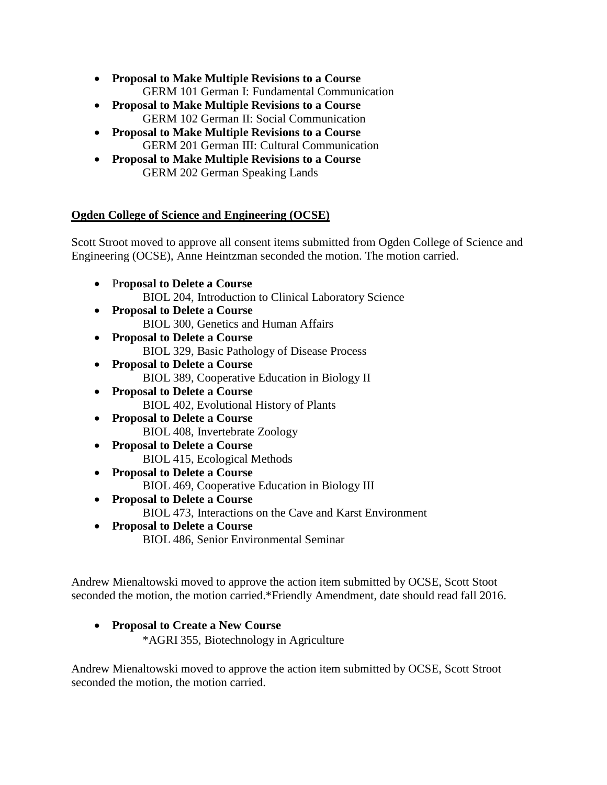- **Proposal to Make Multiple Revisions to a Course** GERM 101 German I: Fundamental Communication
- **Proposal to Make Multiple Revisions to a Course** GERM 102 German II: Social Communication
- **Proposal to Make Multiple Revisions to a Course** GERM 201 German III: Cultural Communication
- **Proposal to Make Multiple Revisions to a Course** GERM 202 German Speaking Lands

## **Ogden College of Science and Engineering (OCSE)**

Scott Stroot moved to approve all consent items submitted from Ogden College of Science and Engineering (OCSE), Anne Heintzman seconded the motion. The motion carried.

- P**roposal to Delete a Course** BIOL 204, Introduction to Clinical Laboratory Science
- **Proposal to Delete a Course** BIOL 300, Genetics and Human Affairs
- **Proposal to Delete a Course** BIOL 329, Basic Pathology of Disease Process
- **Proposal to Delete a Course** BIOL 389, Cooperative Education in Biology II
- **Proposal to Delete a Course** BIOL 402, Evolutional History of Plants
- **Proposal to Delete a Course** BIOL 408, Invertebrate Zoology
- **Proposal to Delete a Course** BIOL 415, Ecological Methods
- **Proposal to Delete a Course** BIOL 469, Cooperative Education in Biology III
- **Proposal to Delete a Course** BIOL 473, Interactions on the Cave and Karst Environment
- **Proposal to Delete a Course** BIOL 486, Senior Environmental Seminar

Andrew Mienaltowski moved to approve the action item submitted by OCSE, Scott Stoot seconded the motion, the motion carried.\*Friendly Amendment, date should read fall 2016.

# • **Proposal to Create a New Course**

\*AGRI 355, Biotechnology in Agriculture

Andrew Mienaltowski moved to approve the action item submitted by OCSE, Scott Stroot seconded the motion, the motion carried.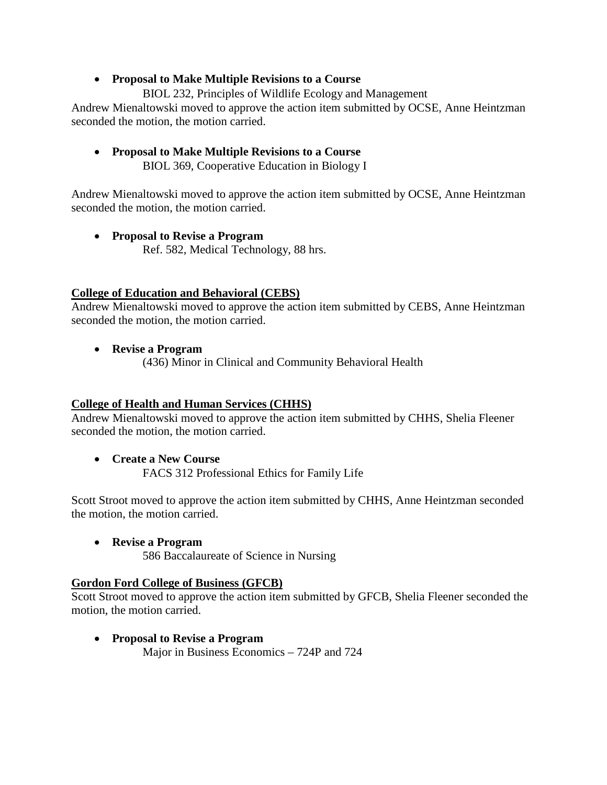### • **Proposal to Make Multiple Revisions to a Course**

BIOL 232, Principles of Wildlife Ecology and Management

Andrew Mienaltowski moved to approve the action item submitted by OCSE, Anne Heintzman seconded the motion, the motion carried.

• **Proposal to Make Multiple Revisions to a Course** BIOL 369, Cooperative Education in Biology I

Andrew Mienaltowski moved to approve the action item submitted by OCSE, Anne Heintzman seconded the motion, the motion carried.

• **Proposal to Revise a Program** Ref. 582, Medical Technology, 88 hrs.

### **College of Education and Behavioral (CEBS)**

Andrew Mienaltowski moved to approve the action item submitted by CEBS, Anne Heintzman seconded the motion, the motion carried.

- **Revise a Program**
	- (436) Minor in Clinical and Community Behavioral Health

### **College of Health and Human Services (CHHS)**

Andrew Mienaltowski moved to approve the action item submitted by CHHS, Shelia Fleener seconded the motion, the motion carried.

• **Create a New Course** FACS 312 Professional Ethics for Family Life

Scott Stroot moved to approve the action item submitted by CHHS, Anne Heintzman seconded the motion, the motion carried.

• **Revise a Program** 586 Baccalaureate of Science in Nursing

### **Gordon Ford College of Business (GFCB)**

Scott Stroot moved to approve the action item submitted by GFCB, Shelia Fleener seconded the motion, the motion carried.

• **Proposal to Revise a Program** Major in Business Economics – 724P and 724